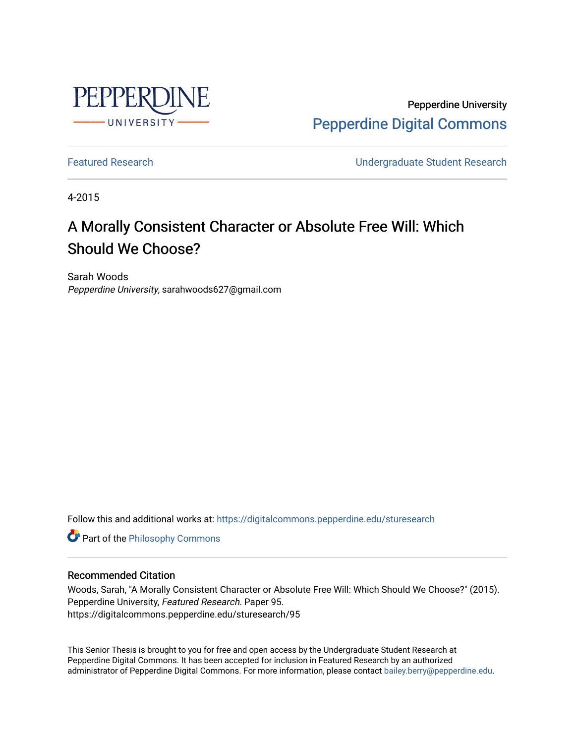

Pepperdine University [Pepperdine Digital Commons](https://digitalcommons.pepperdine.edu/) 

[Featured Research](https://digitalcommons.pepperdine.edu/sturesearch) [Undergraduate Student Research](https://digitalcommons.pepperdine.edu/usr) 

4-2015

## A Morally Consistent Character or Absolute Free Will: Which Should We Choose?

Sarah Woods Pepperdine University, sarahwoods627@gmail.com

Follow this and additional works at: [https://digitalcommons.pepperdine.edu/sturesearch](https://digitalcommons.pepperdine.edu/sturesearch?utm_source=digitalcommons.pepperdine.edu%2Fsturesearch%2F95&utm_medium=PDF&utm_campaign=PDFCoverPages)

**Part of the Philosophy Commons** 

## Recommended Citation

Woods, Sarah, "A Morally Consistent Character or Absolute Free Will: Which Should We Choose?" (2015). Pepperdine University, Featured Research. Paper 95. https://digitalcommons.pepperdine.edu/sturesearch/95

This Senior Thesis is brought to you for free and open access by the Undergraduate Student Research at Pepperdine Digital Commons. It has been accepted for inclusion in Featured Research by an authorized administrator of Pepperdine Digital Commons. For more information, please contact [bailey.berry@pepperdine.edu](mailto:bailey.berry@pepperdine.edu).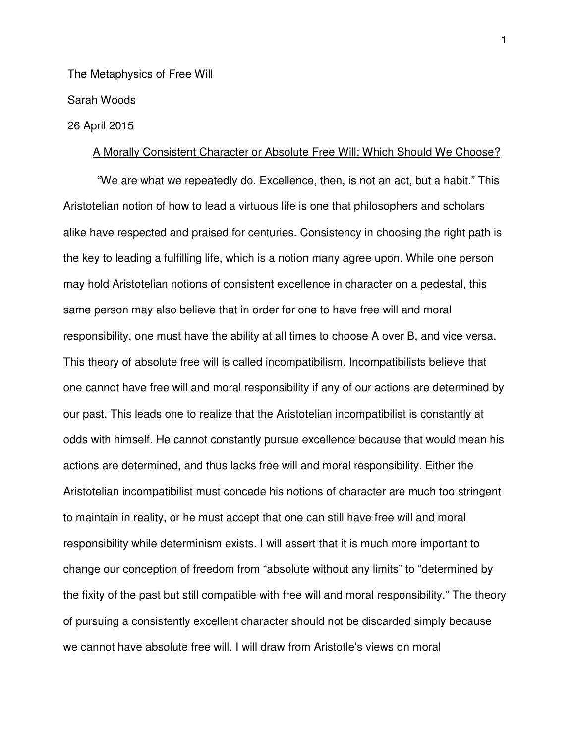The Metaphysics of Free Will

Sarah Woods

## 26 April 2015

## A Morally Consistent Character or Absolute Free Will: Which Should We Choose?

"We are what we repeatedly do. Excellence, then, is not an act, but a habit." This Aristotelian notion of how to lead a virtuous life is one that philosophers and scholars alike have respected and praised for centuries. Consistency in choosing the right path is the key to leading a fulfilling life, which is a notion many agree upon. While one person may hold Aristotelian notions of consistent excellence in character on a pedestal, this same person may also believe that in order for one to have free will and moral responsibility, one must have the ability at all times to choose A over B, and vice versa. This theory of absolute free will is called incompatibilism. Incompatibilists believe that one cannot have free will and moral responsibility if any of our actions are determined by our past. This leads one to realize that the Aristotelian incompatibilist is constantly at odds with himself. He cannot constantly pursue excellence because that would mean his actions are determined, and thus lacks free will and moral responsibility. Either the Aristotelian incompatibilist must concede his notions of character are much too stringent to maintain in reality, or he must accept that one can still have free will and moral responsibility while determinism exists. I will assert that it is much more important to change our conception of freedom from "absolute without any limits" to "determined by the fixity of the past but still compatible with free will and moral responsibility." The theory of pursuing a consistently excellent character should not be discarded simply because we cannot have absolute free will. I will draw from Aristotle's views on moral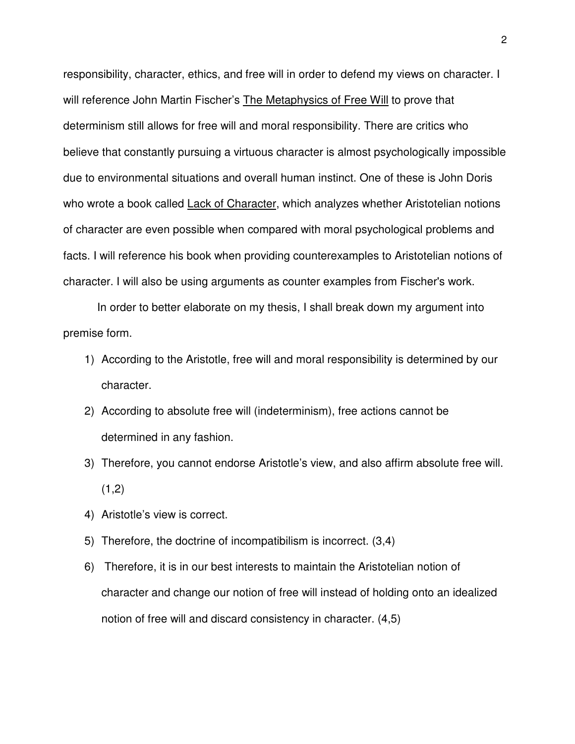responsibility, character, ethics, and free will in order to defend my views on character. I will reference John Martin Fischer's The Metaphysics of Free Will to prove that determinism still allows for free will and moral responsibility. There are critics who believe that constantly pursuing a virtuous character is almost psychologically impossible due to environmental situations and overall human instinct. One of these is John Doris who wrote a book called Lack of Character, which analyzes whether Aristotelian notions of character are even possible when compared with moral psychological problems and facts. I will reference his book when providing counterexamples to Aristotelian notions of character. I will also be using arguments as counter examples from Fischer's work.

In order to better elaborate on my thesis, I shall break down my argument into premise form.

- 1) According to the Aristotle, free will and moral responsibility is determined by our character.
- 2) According to absolute free will (indeterminism), free actions cannot be determined in any fashion.
- 3) Therefore, you cannot endorse Aristotle's view, and also affirm absolute free will.  $(1,2)$
- 4) Aristotle's view is correct.
- 5) Therefore, the doctrine of incompatibilism is incorrect. (3,4)
- 6) Therefore, it is in our best interests to maintain the Aristotelian notion of character and change our notion of free will instead of holding onto an idealized notion of free will and discard consistency in character. (4,5)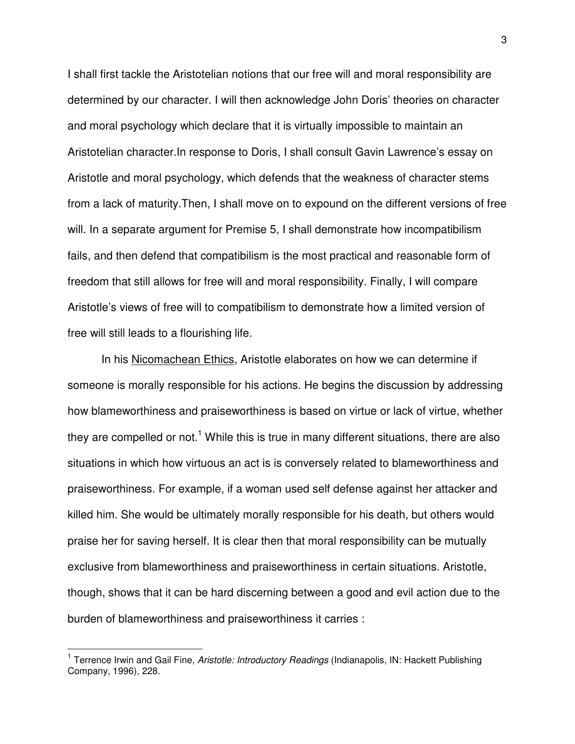I shall first tackle the Aristotelian notions that our free will and moral responsibility are determined by our character. I will then acknowledge John Doris' theories on character and moral psychology which declare that it is virtually impossible to maintain an Aristotelian character.In response to Doris, I shall consult Gavin Lawrence's essay on Aristotle and moral psychology, which defends that the weakness of character stems from a lack of maturity.Then, I shall move on to expound on the different versions of free will. In a separate argument for Premise 5, I shall demonstrate how incompatibilism fails, and then defend that compatibilism is the most practical and reasonable form of freedom that still allows for free will and moral responsibility. Finally, I will compare Aristotle's views of free will to compatibilism to demonstrate how a limited version of free will still leads to a flourishing life.

 In his Nicomachean Ethics, Aristotle elaborates on how we can determine if someone is morally responsible for his actions. He begins the discussion by addressing how blameworthiness and praiseworthiness is based on virtue or lack of virtue, whether they are compelled or not.<sup>1</sup> While this is true in many different situations, there are also situations in which how virtuous an act is is conversely related to blameworthiness and praiseworthiness. For example, if a woman used self defense against her attacker and killed him. She would be ultimately morally responsible for his death, but others would praise her for saving herself. It is clear then that moral responsibility can be mutually exclusive from blameworthiness and praiseworthiness in certain situations. Aristotle, though, shows that it can be hard discerning between a good and evil action due to the burden of blameworthiness and praiseworthiness it carries :

 1 Terrence Irwin and Gail Fine, Aristotle: Introductory Readings (Indianapolis, IN: Hackett Publishing Company, 1996), 228.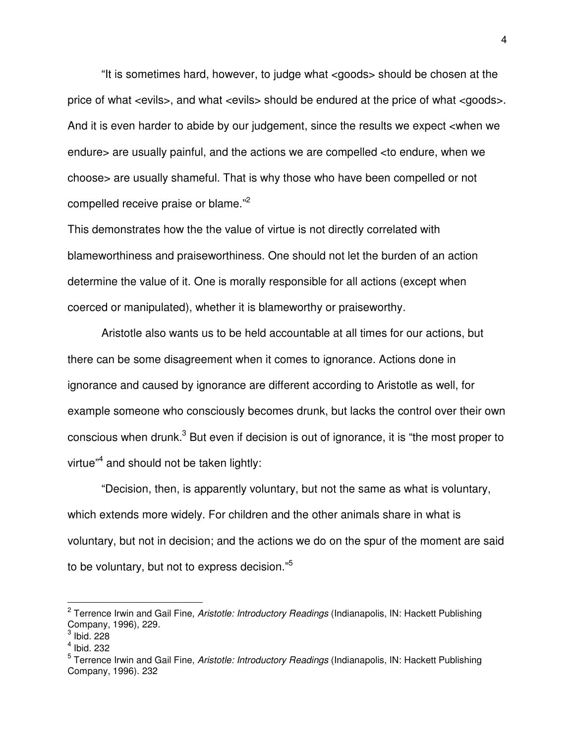"It is sometimes hard, however, to judge what <goods> should be chosen at the price of what <evils>, and what <evils> should be endured at the price of what <goods>. And it is even harder to abide by our judgement, since the results we expect <when we endure> are usually painful, and the actions we are compelled <to endure, when we choose> are usually shameful. That is why those who have been compelled or not compelled receive praise or blame."<sup>2</sup>

This demonstrates how the the value of virtue is not directly correlated with blameworthiness and praiseworthiness. One should not let the burden of an action determine the value of it. One is morally responsible for all actions (except when coerced or manipulated), whether it is blameworthy or praiseworthy.

 Aristotle also wants us to be held accountable at all times for our actions, but there can be some disagreement when it comes to ignorance. Actions done in ignorance and caused by ignorance are different according to Aristotle as well, for example someone who consciously becomes drunk, but lacks the control over their own conscious when drunk.<sup>3</sup> But even if decision is out of ignorance, it is "the most proper to virtue"<sup>4</sup> and should not be taken lightly:

 "Decision, then, is apparently voluntary, but not the same as what is voluntary, which extends more widely. For children and the other animals share in what is voluntary, but not in decision; and the actions we do on the spur of the moment are said to be voluntary, but not to express decision."<sup>5</sup>

<sup>&</sup>lt;sup>2</sup> Terrence Irwin and Gail Fine, Aristotle: Introductory Readings (Indianapolis, IN: Hackett Publishing Company, 1996), 229.

 $3$  Ibid. 228

<sup>4</sup> Ibid. 232

<sup>&</sup>lt;sup>5</sup> Terrence Irwin and Gail Fine, Aristotle: Introductory Readings (Indianapolis, IN: Hackett Publishing Company, 1996). 232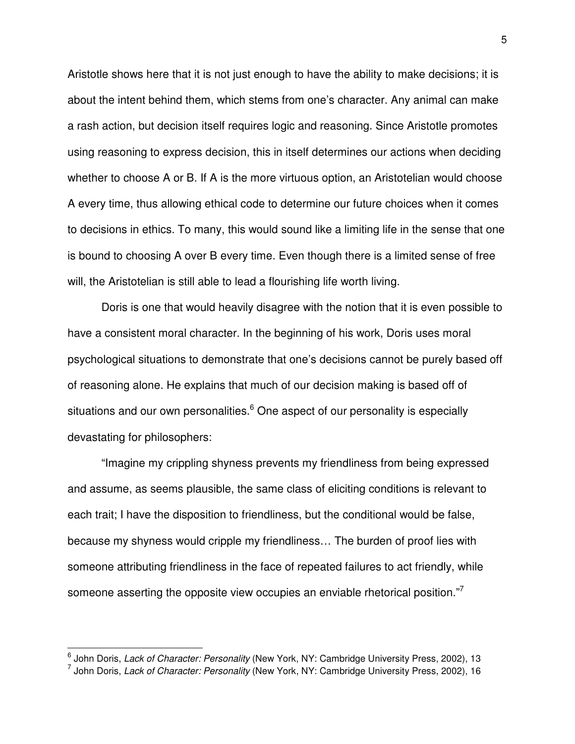Aristotle shows here that it is not just enough to have the ability to make decisions; it is about the intent behind them, which stems from one's character. Any animal can make a rash action, but decision itself requires logic and reasoning. Since Aristotle promotes using reasoning to express decision, this in itself determines our actions when deciding whether to choose A or B. If A is the more virtuous option, an Aristotelian would choose A every time, thus allowing ethical code to determine our future choices when it comes to decisions in ethics. To many, this would sound like a limiting life in the sense that one is bound to choosing A over B every time. Even though there is a limited sense of free will, the Aristotelian is still able to lead a flourishing life worth living.

 Doris is one that would heavily disagree with the notion that it is even possible to have a consistent moral character. In the beginning of his work, Doris uses moral psychological situations to demonstrate that one's decisions cannot be purely based off of reasoning alone. He explains that much of our decision making is based off of situations and our own personalities. $^6$  One aspect of our personality is especially devastating for philosophers:

 "Imagine my crippling shyness prevents my friendliness from being expressed and assume, as seems plausible, the same class of eliciting conditions is relevant to each trait; I have the disposition to friendliness, but the conditional would be false, because my shyness would cripple my friendliness… The burden of proof lies with someone attributing friendliness in the face of repeated failures to act friendly, while someone asserting the opposite view occupies an enviable rhetorical position."<sup>7</sup>

\_\_\_\_\_\_\_\_\_\_\_\_\_\_\_\_\_\_\_\_\_\_\_\_\_\_\_\_\_\_\_\_\_\_\_\_\_<br><sup>6</sup> John Doris, *Lack of Character: Personality* (New York, NY: Cambridge University Press, 2002), 13<br><sup>7</sup> John Doris, *Lack of Character: Personality* (New York, NY: Cambridge Universi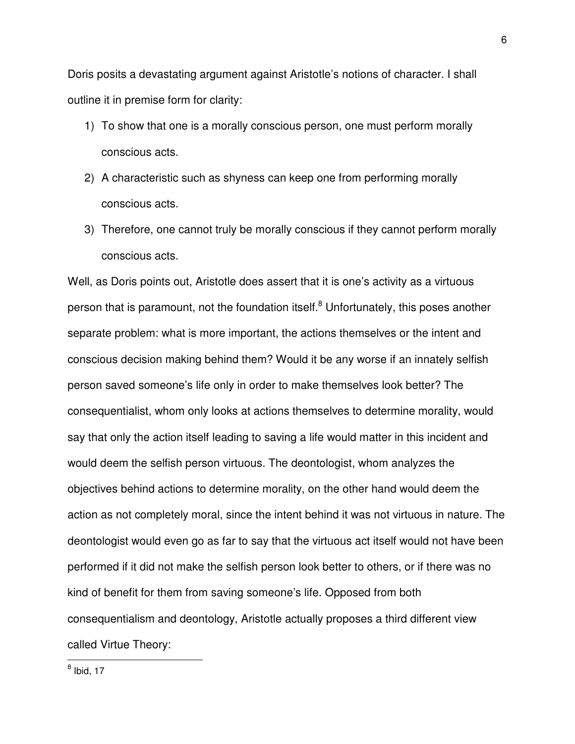Doris posits a devastating argument against Aristotle's notions of character. I shall outline it in premise form for clarity:

- 1) To show that one is a morally conscious person, one must perform morally conscious acts.
- 2) A characteristic such as shyness can keep one from performing morally conscious acts.
- 3) Therefore, one cannot truly be morally conscious if they cannot perform morally conscious acts.

Well, as Doris points out, Aristotle does assert that it is one's activity as a virtuous person that is paramount, not the foundation itself.<sup>8</sup> Unfortunately, this poses another separate problem: what is more important, the actions themselves or the intent and conscious decision making behind them? Would it be any worse if an innately selfish person saved someone's life only in order to make themselves look better? The consequentialist, whom only looks at actions themselves to determine morality, would say that only the action itself leading to saving a life would matter in this incident and would deem the selfish person virtuous. The deontologist, whom analyzes the objectives behind actions to determine morality, on the other hand would deem the action as not completely moral, since the intent behind it was not virtuous in nature. The deontologist would even go as far to say that the virtuous act itself would not have been performed if it did not make the selfish person look better to others, or if there was no kind of benefit for them from saving someone's life. Opposed from both consequentialism and deontology, Aristotle actually proposes a third different view called Virtue Theory: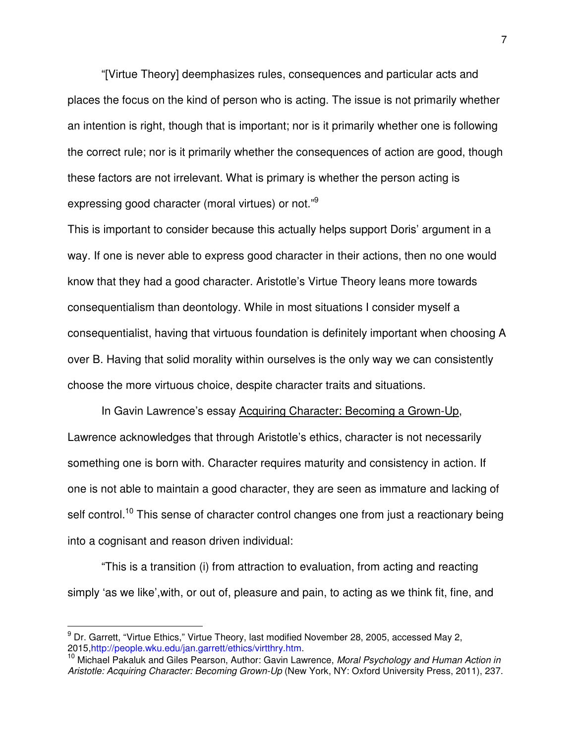"[Virtue Theory] deemphasizes rules, consequences and particular acts and places the focus on the kind of person who is acting. The issue is not primarily whether an intention is right, though that is important; nor is it primarily whether one is following the correct rule; nor is it primarily whether the consequences of action are good, though these factors are not irrelevant. What is primary is whether the person acting is expressing good character (moral virtues) or not."<sup>9</sup>

This is important to consider because this actually helps support Doris' argument in a way. If one is never able to express good character in their actions, then no one would know that they had a good character. Aristotle's Virtue Theory leans more towards consequentialism than deontology. While in most situations I consider myself a consequentialist, having that virtuous foundation is definitely important when choosing A over B. Having that solid morality within ourselves is the only way we can consistently choose the more virtuous choice, despite character traits and situations.

In Gavin Lawrence's essay Acquiring Character: Becoming a Grown-Up, Lawrence acknowledges that through Aristotle's ethics, character is not necessarily something one is born with. Character requires maturity and consistency in action. If one is not able to maintain a good character, they are seen as immature and lacking of self control.<sup>10</sup> This sense of character control changes one from just a reactionary being into a cognisant and reason driven individual:

 "This is a transition (i) from attraction to evaluation, from acting and reacting simply 'as we like',with, or out of, pleasure and pain, to acting as we think fit, fine, and

<sup>&</sup>lt;sup>9</sup> Dr. Garrett, "Virtue Ethics," Virtue Theory, last modified November 28, 2005, accessed May 2, 2015,http://people.wku.edu/jan.garrett/ethics/virtthry.htm.

<sup>&</sup>lt;sup>10</sup> Michael Pakaluk and Giles Pearson, Author: Gavin Lawrence, Moral Psychology and Human Action in Aristotle: Acquiring Character: Becoming Grown-Up (New York, NY: Oxford University Press, 2011), 237.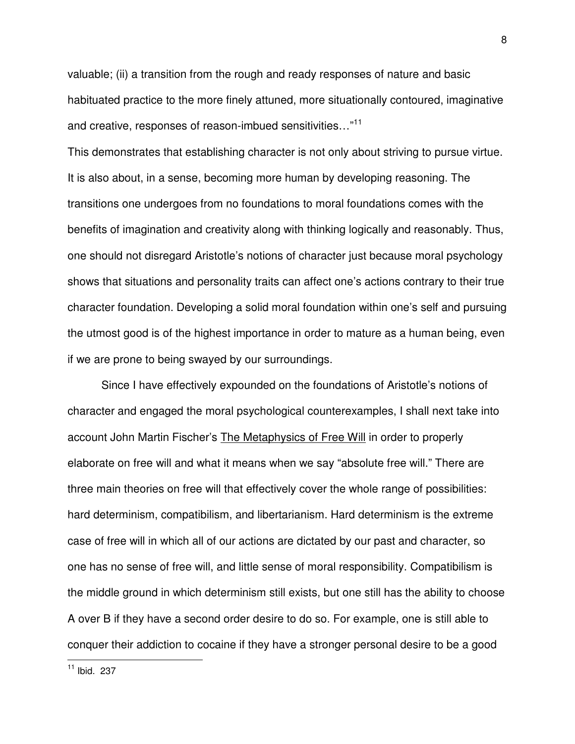valuable; (ii) a transition from the rough and ready responses of nature and basic habituated practice to the more finely attuned, more situationally contoured, imaginative and creative, responses of reason-imbued sensitivities..."<sup>11</sup>

This demonstrates that establishing character is not only about striving to pursue virtue. It is also about, in a sense, becoming more human by developing reasoning. The transitions one undergoes from no foundations to moral foundations comes with the benefits of imagination and creativity along with thinking logically and reasonably. Thus, one should not disregard Aristotle's notions of character just because moral psychology shows that situations and personality traits can affect one's actions contrary to their true character foundation. Developing a solid moral foundation within one's self and pursuing the utmost good is of the highest importance in order to mature as a human being, even if we are prone to being swayed by our surroundings.

 Since I have effectively expounded on the foundations of Aristotle's notions of character and engaged the moral psychological counterexamples, I shall next take into account John Martin Fischer's The Metaphysics of Free Will in order to properly elaborate on free will and what it means when we say "absolute free will." There are three main theories on free will that effectively cover the whole range of possibilities: hard determinism, compatibilism, and libertarianism. Hard determinism is the extreme case of free will in which all of our actions are dictated by our past and character, so one has no sense of free will, and little sense of moral responsibility. Compatibilism is the middle ground in which determinism still exists, but one still has the ability to choose A over B if they have a second order desire to do so. For example, one is still able to conquer their addiction to cocaine if they have a stronger personal desire to be a good

 $11$  Ibid. 237

 $\overline{a}$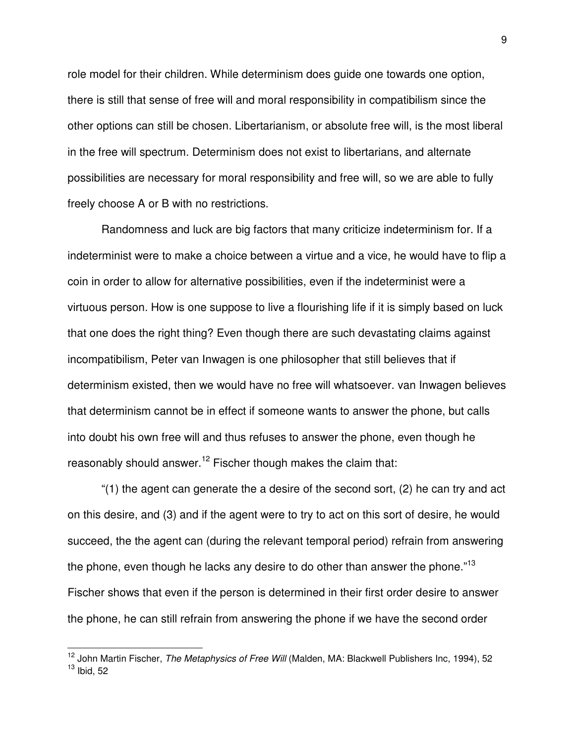role model for their children. While determinism does guide one towards one option, there is still that sense of free will and moral responsibility in compatibilism since the other options can still be chosen. Libertarianism, or absolute free will, is the most liberal in the free will spectrum. Determinism does not exist to libertarians, and alternate possibilities are necessary for moral responsibility and free will, so we are able to fully freely choose A or B with no restrictions.

Randomness and luck are big factors that many criticize indeterminism for. If a indeterminist were to make a choice between a virtue and a vice, he would have to flip a coin in order to allow for alternative possibilities, even if the indeterminist were a virtuous person. How is one suppose to live a flourishing life if it is simply based on luck that one does the right thing? Even though there are such devastating claims against incompatibilism, Peter van Inwagen is one philosopher that still believes that if determinism existed, then we would have no free will whatsoever. van Inwagen believes that determinism cannot be in effect if someone wants to answer the phone, but calls into doubt his own free will and thus refuses to answer the phone, even though he reasonably should answer.<sup>12</sup> Fischer though makes the claim that:

 "(1) the agent can generate the a desire of the second sort, (2) he can try and act on this desire, and (3) and if the agent were to try to act on this sort of desire, he would succeed, the the agent can (during the relevant temporal period) refrain from answering the phone, even though he lacks any desire to do other than answer the phone."<sup>13</sup> Fischer shows that even if the person is determined in their first order desire to answer the phone, he can still refrain from answering the phone if we have the second order

<sup>&</sup>lt;sup>12</sup> John Martin Fischer, The Metaphysics of Free Will (Malden, MA: Blackwell Publishers Inc, 1994), 52  $13$  Ibid, 52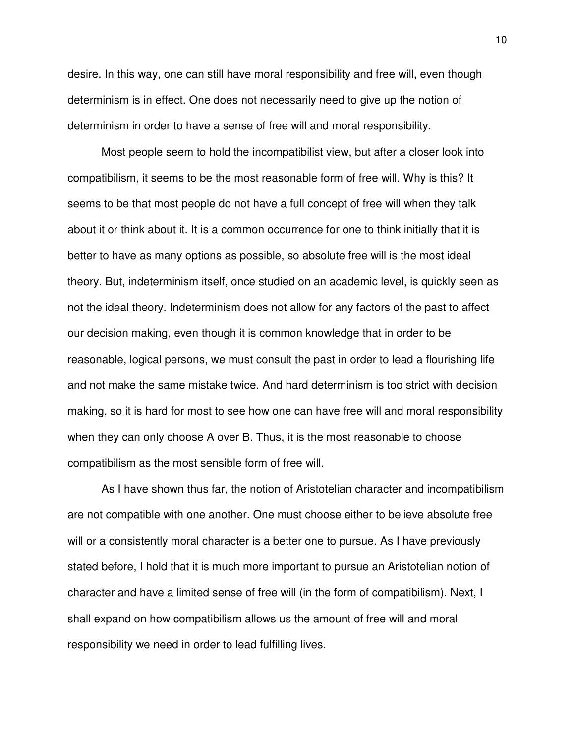desire. In this way, one can still have moral responsibility and free will, even though determinism is in effect. One does not necessarily need to give up the notion of determinism in order to have a sense of free will and moral responsibility.

 Most people seem to hold the incompatibilist view, but after a closer look into compatibilism, it seems to be the most reasonable form of free will. Why is this? It seems to be that most people do not have a full concept of free will when they talk about it or think about it. It is a common occurrence for one to think initially that it is better to have as many options as possible, so absolute free will is the most ideal theory. But, indeterminism itself, once studied on an academic level, is quickly seen as not the ideal theory. Indeterminism does not allow for any factors of the past to affect our decision making, even though it is common knowledge that in order to be reasonable, logical persons, we must consult the past in order to lead a flourishing life and not make the same mistake twice. And hard determinism is too strict with decision making, so it is hard for most to see how one can have free will and moral responsibility when they can only choose A over B. Thus, it is the most reasonable to choose compatibilism as the most sensible form of free will.

 As I have shown thus far, the notion of Aristotelian character and incompatibilism are not compatible with one another. One must choose either to believe absolute free will or a consistently moral character is a better one to pursue. As I have previously stated before, I hold that it is much more important to pursue an Aristotelian notion of character and have a limited sense of free will (in the form of compatibilism). Next, I shall expand on how compatibilism allows us the amount of free will and moral responsibility we need in order to lead fulfilling lives.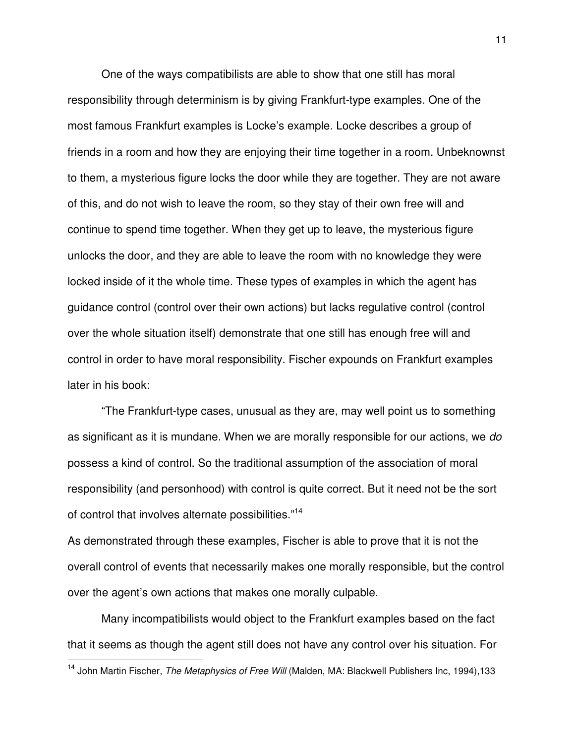One of the ways compatibilists are able to show that one still has moral responsibility through determinism is by giving Frankfurt-type examples. One of the most famous Frankfurt examples is Locke's example. Locke describes a group of friends in a room and how they are enjoying their time together in a room. Unbeknownst to them, a mysterious figure locks the door while they are together. They are not aware of this, and do not wish to leave the room, so they stay of their own free will and continue to spend time together. When they get up to leave, the mysterious figure unlocks the door, and they are able to leave the room with no knowledge they were locked inside of it the whole time. These types of examples in which the agent has guidance control (control over their own actions) but lacks regulative control (control over the whole situation itself) demonstrate that one still has enough free will and control in order to have moral responsibility. Fischer expounds on Frankfurt examples later in his book:

 "The Frankfurt-type cases, unusual as they are, may well point us to something as significant as it is mundane. When we are morally responsible for our actions, we do possess a kind of control. So the traditional assumption of the association of moral responsibility (and personhood) with control is quite correct. But it need not be the sort of control that involves alternate possibilities."<sup>14</sup>

As demonstrated through these examples, Fischer is able to prove that it is not the overall control of events that necessarily makes one morally responsible, but the control over the agent's own actions that makes one morally culpable.

 Many incompatibilists would object to the Frankfurt examples based on the fact that it seems as though the agent still does not have any control over his situation. For

 $\overline{a}$ 

<sup>&</sup>lt;sup>14</sup> John Martin Fischer, *The Metaphysics of Free Will* (Malden, MA: Blackwell Publishers Inc, 1994),133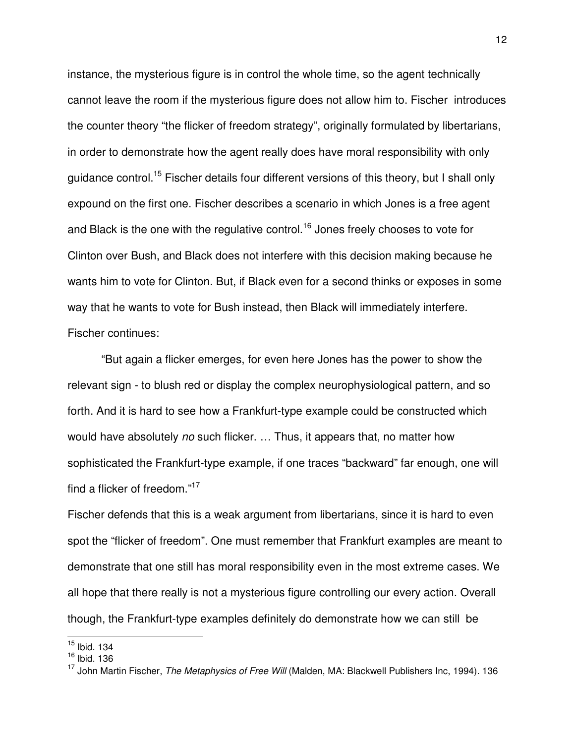instance, the mysterious figure is in control the whole time, so the agent technically cannot leave the room if the mysterious figure does not allow him to. Fischer introduces the counter theory "the flicker of freedom strategy", originally formulated by libertarians, in order to demonstrate how the agent really does have moral responsibility with only guidance control.<sup>15</sup> Fischer details four different versions of this theory, but I shall only expound on the first one. Fischer describes a scenario in which Jones is a free agent and Black is the one with the regulative control.<sup>16</sup> Jones freely chooses to vote for Clinton over Bush, and Black does not interfere with this decision making because he wants him to vote for Clinton. But, if Black even for a second thinks or exposes in some way that he wants to vote for Bush instead, then Black will immediately interfere. Fischer continues:

 "But again a flicker emerges, for even here Jones has the power to show the relevant sign - to blush red or display the complex neurophysiological pattern, and so forth. And it is hard to see how a Frankfurt-type example could be constructed which would have absolutely no such flicker. ... Thus, it appears that, no matter how sophisticated the Frankfurt-type example, if one traces "backward" far enough, one will find a flicker of freedom."<sup>17</sup>

Fischer defends that this is a weak argument from libertarians, since it is hard to even spot the "flicker of freedom". One must remember that Frankfurt examples are meant to demonstrate that one still has moral responsibility even in the most extreme cases. We all hope that there really is not a mysterious figure controlling our every action. Overall though, the Frankfurt-type examples definitely do demonstrate how we can still be

 $15$  Ibid. 134

<sup>&</sup>lt;sup>16</sup> Ibid. 136

<sup>17</sup> John Martin Fischer, *The Metaphysics of Free Will* (Malden, MA: Blackwell Publishers Inc, 1994). 136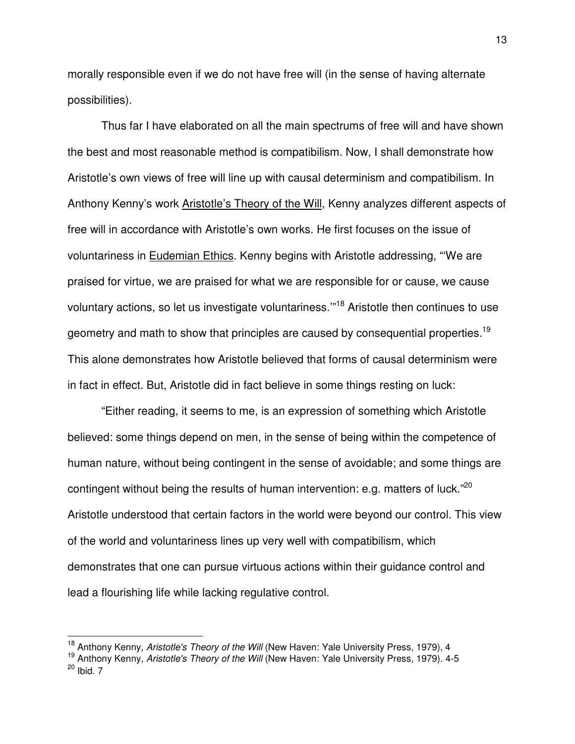morally responsible even if we do not have free will (in the sense of having alternate possibilities).

 Thus far I have elaborated on all the main spectrums of free will and have shown the best and most reasonable method is compatibilism. Now, I shall demonstrate how Aristotle's own views of free will line up with causal determinism and compatibilism. In Anthony Kenny's work Aristotle's Theory of the Will, Kenny analyzes different aspects of free will in accordance with Aristotle's own works. He first focuses on the issue of voluntariness in Eudemian Ethics. Kenny begins with Aristotle addressing, "'We are praised for virtue, we are praised for what we are responsible for or cause, we cause voluntary actions, so let us investigate voluntariness.'"<sup>18</sup> Aristotle then continues to use geometry and math to show that principles are caused by consequential properties.<sup>19</sup> This alone demonstrates how Aristotle believed that forms of causal determinism were in fact in effect. But, Aristotle did in fact believe in some things resting on luck:

 "Either reading, it seems to me, is an expression of something which Aristotle believed: some things depend on men, in the sense of being within the competence of human nature, without being contingent in the sense of avoidable; and some things are contingent without being the results of human intervention: e.g. matters of luck."<sup>20</sup> Aristotle understood that certain factors in the world were beyond our control. This view of the world and voluntariness lines up very well with compatibilism, which demonstrates that one can pursue virtuous actions within their guidance control and lead a flourishing life while lacking regulative control.

<sup>&</sup>lt;sup>18</sup> Anthony Kenny, Aristotle's Theory of the Will (New Haven: Yale University Press, 1979), 4

<sup>&</sup>lt;sup>19</sup> Anthony Kenny, Aristotle's Theory of the Will (New Haven: Yale University Press, 1979). 4-5  $20$  Ibid. 7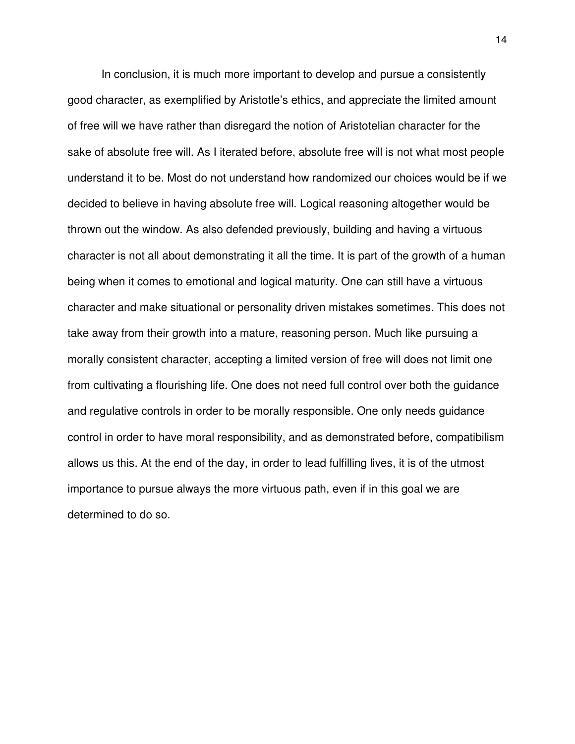In conclusion, it is much more important to develop and pursue a consistently good character, as exemplified by Aristotle's ethics, and appreciate the limited amount of free will we have rather than disregard the notion of Aristotelian character for the sake of absolute free will. As I iterated before, absolute free will is not what most people understand it to be. Most do not understand how randomized our choices would be if we decided to believe in having absolute free will. Logical reasoning altogether would be thrown out the window. As also defended previously, building and having a virtuous character is not all about demonstrating it all the time. It is part of the growth of a human being when it comes to emotional and logical maturity. One can still have a virtuous character and make situational or personality driven mistakes sometimes. This does not take away from their growth into a mature, reasoning person. Much like pursuing a morally consistent character, accepting a limited version of free will does not limit one from cultivating a flourishing life. One does not need full control over both the guidance and regulative controls in order to be morally responsible. One only needs guidance control in order to have moral responsibility, and as demonstrated before, compatibilism allows us this. At the end of the day, in order to lead fulfilling lives, it is of the utmost importance to pursue always the more virtuous path, even if in this goal we are determined to do so.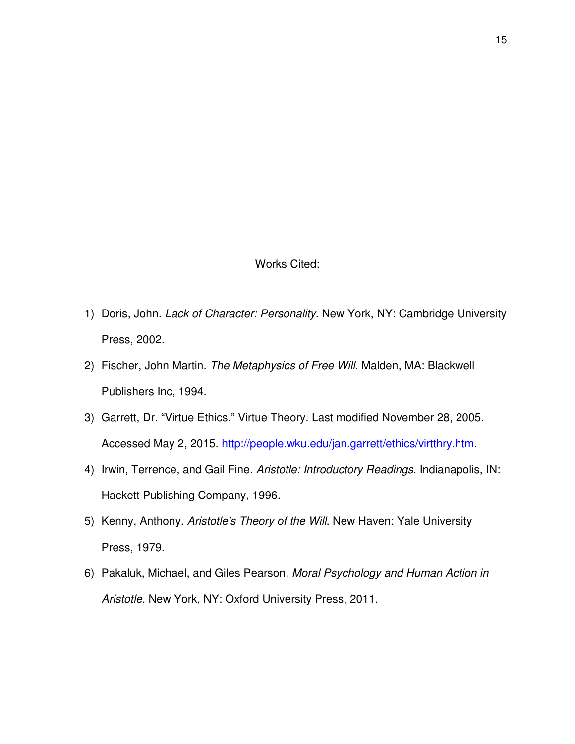Works Cited:

- 1) Doris, John. Lack of Character: Personality. New York, NY: Cambridge University Press, 2002.
- 2) Fischer, John Martin. The Metaphysics of Free Will. Malden, MA: Blackwell Publishers Inc, 1994.
- 3) Garrett, Dr. "Virtue Ethics." Virtue Theory. Last modified November 28, 2005. Accessed May 2, 2015. http://people.wku.edu/jan.garrett/ethics/virtthry.htm.
- 4) Irwin, Terrence, and Gail Fine. Aristotle: Introductory Readings. Indianapolis, IN: Hackett Publishing Company, 1996.
- 5) Kenny, Anthony. Aristotle's Theory of the Will. New Haven: Yale University Press, 1979.
- 6) Pakaluk, Michael, and Giles Pearson. Moral Psychology and Human Action in Aristotle. New York, NY: Oxford University Press, 2011.